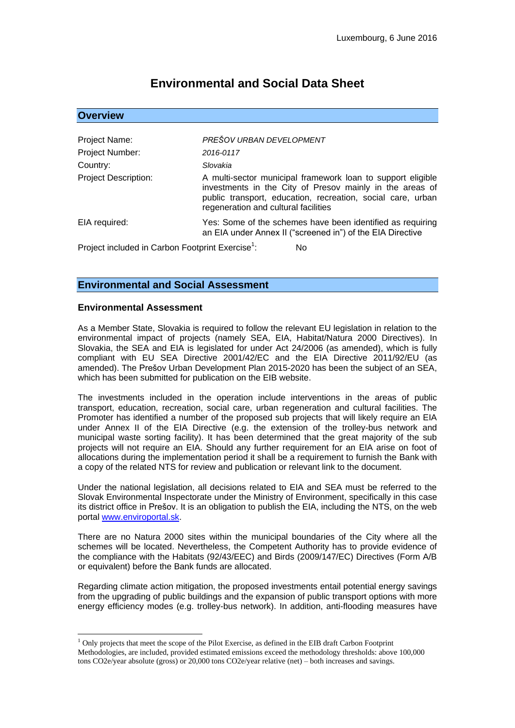# **Environmental and Social Data Sheet**

| <b>Overview</b>                                                    |                                                                                                                                                                                                                                |
|--------------------------------------------------------------------|--------------------------------------------------------------------------------------------------------------------------------------------------------------------------------------------------------------------------------|
|                                                                    |                                                                                                                                                                                                                                |
| Project Name:                                                      | PREŠOV URBAN DEVELOPMENT                                                                                                                                                                                                       |
| Project Number:                                                    | 2016-0117                                                                                                                                                                                                                      |
| Country:                                                           | Slovakia                                                                                                                                                                                                                       |
| <b>Project Description:</b>                                        | A multi-sector municipal framework loan to support eligible<br>investments in the City of Presov mainly in the areas of<br>public transport, education, recreation, social care, urban<br>regeneration and cultural facilities |
| EIA required:                                                      | Yes: Some of the schemes have been identified as requiring<br>an EIA under Annex II ("screened in") of the EIA Directive                                                                                                       |
| Project included in Carbon Footprint Exercise <sup>1</sup> :<br>No |                                                                                                                                                                                                                                |

# **Environmental and Social Assessment**

### **Environmental Assessment**

<u>.</u>

As a Member State, Slovakia is required to follow the relevant EU legislation in relation to the environmental impact of projects (namely SEA, EIA, Habitat/Natura 2000 Directives). In Slovakia, the SEA and EIA is legislated for under Act 24/2006 (as amended), which is fully compliant with EU SEA Directive 2001/42/EC and the EIA Directive 2011/92/EU (as amended). The Prešov Urban Development Plan 2015-2020 has been the subject of an SEA, which has been submitted for publication on the EIB website.

The investments included in the operation include interventions in the areas of public transport, education, recreation, social care, urban regeneration and cultural facilities. The Promoter has identified a number of the proposed sub projects that will likely require an EIA under Annex II of the EIA Directive (e.g. the extension of the trolley-bus network and municipal waste sorting facility). It has been determined that the great majority of the sub projects will not require an EIA. Should any further requirement for an EIA arise on foot of allocations during the implementation period it shall be a requirement to furnish the Bank with a copy of the related NTS for review and publication or relevant link to the document.

Under the national legislation, all decisions related to EIA and SEA must be referred to the Slovak Environmental Inspectorate under the Ministry of Environment, specifically in this case its district office in Prešov. It is an obligation to publish the EIA, including the NTS, on the web portal [www.enviroportal.sk.](http://www.enviroportal.sk/)

There are no Natura 2000 sites within the municipal boundaries of the City where all the schemes will be located. Nevertheless, the Competent Authority has to provide evidence of the compliance with the Habitats (92/43/EEC) and Birds (2009/147/EC) Directives (Form A/B or equivalent) before the Bank funds are allocated.

Regarding climate action mitigation, the proposed investments entail potential energy savings from the upgrading of public buildings and the expansion of public transport options with more energy efficiency modes (e.g. trolley-bus network). In addition, anti-flooding measures have

 $<sup>1</sup>$  Only projects that meet the scope of the Pilot Exercise, as defined in the EIB draft Carbon Footprint</sup> Methodologies, are included, provided estimated emissions exceed the methodology thresholds: above 100,000 tons CO2e/year absolute (gross) or 20,000 tons CO2e/year relative (net) – both increases and savings.